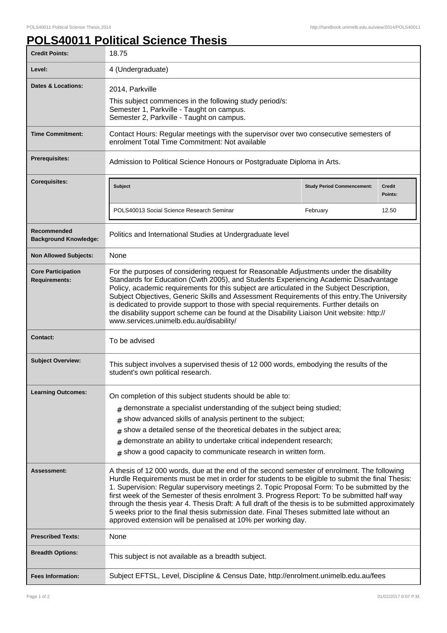## **POLS40011 Political Science Thesis**

| <b>Credit Points:</b>                             | 18.75                                                                                                                                                                                                                                                                                                                                                                                                                                                                                                                                                                                                                                                              |                                   |                          |
|---------------------------------------------------|--------------------------------------------------------------------------------------------------------------------------------------------------------------------------------------------------------------------------------------------------------------------------------------------------------------------------------------------------------------------------------------------------------------------------------------------------------------------------------------------------------------------------------------------------------------------------------------------------------------------------------------------------------------------|-----------------------------------|--------------------------|
| Level:                                            | 4 (Undergraduate)                                                                                                                                                                                                                                                                                                                                                                                                                                                                                                                                                                                                                                                  |                                   |                          |
| Dates & Locations:                                | 2014, Parkville<br>This subject commences in the following study period/s:<br>Semester 1, Parkville - Taught on campus.<br>Semester 2, Parkville - Taught on campus.                                                                                                                                                                                                                                                                                                                                                                                                                                                                                               |                                   |                          |
| <b>Time Commitment:</b>                           | Contact Hours: Regular meetings with the supervisor over two consecutive semesters of<br>enrolment Total Time Commitment: Not available                                                                                                                                                                                                                                                                                                                                                                                                                                                                                                                            |                                   |                          |
| Prerequisites:                                    | Admission to Political Science Honours or Postgraduate Diploma in Arts.                                                                                                                                                                                                                                                                                                                                                                                                                                                                                                                                                                                            |                                   |                          |
| <b>Corequisites:</b>                              | Subject                                                                                                                                                                                                                                                                                                                                                                                                                                                                                                                                                                                                                                                            | <b>Study Period Commencement:</b> | <b>Credit</b><br>Points: |
|                                                   | POLS40013 Social Science Research Seminar                                                                                                                                                                                                                                                                                                                                                                                                                                                                                                                                                                                                                          | February                          | 12.50                    |
| Recommended<br><b>Background Knowledge:</b>       | Politics and International Studies at Undergraduate level                                                                                                                                                                                                                                                                                                                                                                                                                                                                                                                                                                                                          |                                   |                          |
| <b>Non Allowed Subjects:</b>                      | None                                                                                                                                                                                                                                                                                                                                                                                                                                                                                                                                                                                                                                                               |                                   |                          |
| <b>Core Participation</b><br><b>Requirements:</b> | For the purposes of considering request for Reasonable Adjustments under the disability<br>Standards for Education (Cwth 2005), and Students Experiencing Academic Disadvantage<br>Policy, academic requirements for this subject are articulated in the Subject Description,<br>Subject Objectives, Generic Skills and Assessment Requirements of this entry. The University<br>is dedicated to provide support to those with special requirements. Further details on<br>the disability support scheme can be found at the Disability Liaison Unit website: http://<br>www.services.unimelb.edu.au/disability/                                                   |                                   |                          |
| <b>Contact:</b>                                   | To be advised                                                                                                                                                                                                                                                                                                                                                                                                                                                                                                                                                                                                                                                      |                                   |                          |
| <b>Subject Overview:</b>                          | This subject involves a supervised thesis of 12 000 words, embodying the results of the<br>student's own political research.                                                                                                                                                                                                                                                                                                                                                                                                                                                                                                                                       |                                   |                          |
| <b>Learning Outcomes:</b>                         | On completion of this subject students should be able to:<br>$#$ demonstrate a specialist understanding of the subject being studied;<br>show advanced skills of analysis pertinent to the subject;<br>#<br>show a detailed sense of the theoretical debates in the subject area;<br>#<br>demonstrate an ability to undertake critical independent research;<br>#<br>$#$ show a good capacity to communicate research in written form.                                                                                                                                                                                                                             |                                   |                          |
| Assessment:                                       | A thesis of 12 000 words, due at the end of the second semester of enrolment. The following<br>Hurdle Requirements must be met in order for students to be eligible to submit the final Thesis:<br>1. Supervision: Regular supervisory meetings 2. Topic Proposal Form: To be submitted by the<br>first week of the Semester of thesis enrolment 3. Progress Report: To be submitted half way<br>through the thesis year 4. Thesis Draft: A full draft of the thesis is to be submitted approximately<br>5 weeks prior to the final thesis submission date. Final Theses submitted late without an<br>approved extension will be penalised at 10% per working day. |                                   |                          |
| <b>Prescribed Texts:</b>                          | None                                                                                                                                                                                                                                                                                                                                                                                                                                                                                                                                                                                                                                                               |                                   |                          |
| <b>Breadth Options:</b>                           | This subject is not available as a breadth subject.                                                                                                                                                                                                                                                                                                                                                                                                                                                                                                                                                                                                                |                                   |                          |
| <b>Fees Information:</b>                          | Subject EFTSL, Level, Discipline & Census Date, http://enrolment.unimelb.edu.au/fees                                                                                                                                                                                                                                                                                                                                                                                                                                                                                                                                                                               |                                   |                          |